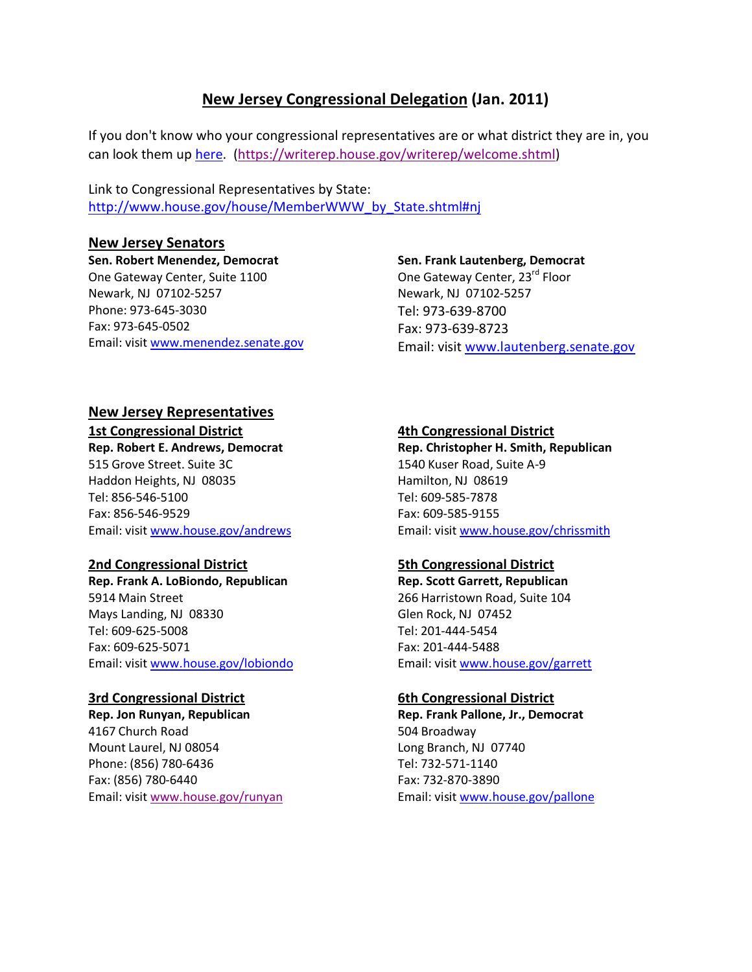# **New Jersey Congressional Delegation (Jan. 2011)**

If you don't know who your congressional representatives are or what district they are in, you can look them up here. (https://writerep.house.gov/writerep/welcome.shtml)

Link to Congressional Representatives by State: http://www.house.gov/house/MemberWWW\_by\_State.shtml#nj

# **New Jersey Senators**

**Sen. Robert Menendez, Democrat** One Gateway Center, Suite 1100 Newark, NJ 07102-5257 Phone: 973-645-3030 Fax: 973-645-0502 Email: visit www.menendez.senate.gov

#### **Sen. Frank Lautenberg, Democrat**

One Gateway Center, 23<sup>rd</sup> Floor Newark, NJ 07102-5257 Tel: 973-639-8700 Fax: 973-639-8723 Email: visit www.lautenberg.senate.gov

## **New Jersey Representatives 1st Congressional District**

**Rep. Robert E. Andrews, Democrat**  515 Grove Street. Suite 3C Haddon Heights, NJ 08035 Tel: 856-546-5100 Fax: 856-546-9529

# Email: visit www.house.gov/andrews

# **2nd Congressional District**

**Rep. Frank A. LoBiondo, Republican**  5914 Main Street Mays Landing, NJ 08330 Tel: 609-625-5008 Fax: 609-625-5071 Email: visit www.house.gov/lobiondo

# **3rd Congressional District**

**Rep. Jon Runyan, Republican** 4167 Church Road Mount Laurel, NJ 08054 Phone: (856) 780-6436 Fax: (856) 780-6440 Email: visit www.house.gov/runyan

# **4th Congressional District**

**Rep. Christopher H. Smith, Republican**  1540 Kuser Road, Suite A-9 Hamilton, NJ 08619 Tel: 609-585-7878 Fax: 609-585-9155 Email: visit www.house.gov/chrissmith

# **5th Congressional District**

**Rep. Scott Garrett, Republican**  266 Harristown Road, Suite 104 Glen Rock, NJ 07452 Tel: 201-444-5454 Fax: 201-444-5488 Email: visit www.house.gov/garrett

# **6th Congressional District**

**Rep. Frank Pallone, Jr., Democrat**  504 Broadway Long Branch, NJ 07740 Tel: 732-571-1140 Fax: 732-870-3890 Email: visit www.house.gov/pallone